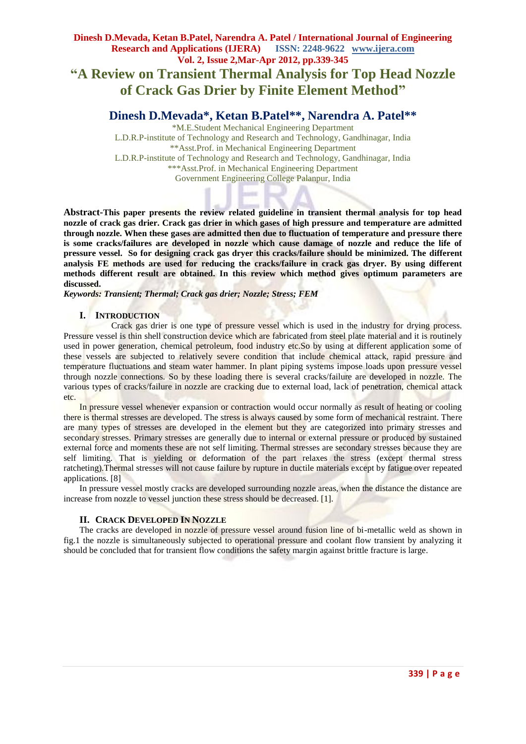# **Dinesh D.Mevada, Ketan B.Patel, Narendra A. Patel / International Journal of Engineering Research and Applications (IJERA) ISSN: 2248-9622 www.ijera.com Vol. 2, Issue 2,Mar-Apr 2012, pp.339-345 "A Review on Transient Thermal Analysis for Top Head Nozzle of Crack Gas Drier by Finite Element Method"**

## **Dinesh D.Mevada\*, Ketan B.Patel\*\*, Narendra A. Patel\*\***

\*M.E.Student Mechanical Engineering Department L.D.R.P-institute of Technology and Research and Technology, Gandhinagar, India \*\*Asst.Prof. in Mechanical Engineering Department L.D.R.P-institute of Technology and Research and Technology, Gandhinagar, India \*\*\*Asst.Prof. in Mechanical Engineering Department Government Engineering College Palanpur, India

**Abstract-This paper presents the review related guideline in transient thermal analysis for top head nozzle of crack gas drier. Crack gas drier in which gases of high pressure and temperature are admitted through nozzle. When these gases are admitted then due to fluctuation of temperature and pressure there is some cracks/failures are developed in nozzle which cause damage of nozzle and reduce the life of pressure vessel. So for designing crack gas dryer this cracks/failure should be minimized. The different analysis FE methods are used for reducing the cracks/failure in crack gas dryer. By using different methods different result are obtained. In this review which method gives optimum parameters are discussed.**

*Keywords: Transient; Thermal; Crack gas drier; Nozzle; Stress; FEM*

## **I. INTRODUCTION**

Crack gas drier is one type of pressure vessel which is used in the industry for drying process. Pressure vessel is thin shell construction device which are fabricated from steel plate material and it is routinely used in power generation, chemical petroleum, food industry etc.So by using at different application some of these vessels are subjected to relatively severe condition that include chemical attack, rapid pressure and temperature fluctuations and steam water hammer. In plant piping systems impose loads upon pressure vessel through nozzle connections. So by these loading there is several cracks/failure are developed in nozzle. The various types of cracks/failure in nozzle are cracking due to external load, lack of penetration, chemical attack etc.

In pressure vessel whenever expansion or contraction would occur normally as result of heating or cooling there is thermal stresses are developed. The stress is always caused by some form of mechanical restraint. There are many types of stresses are developed in the element but they are categorized into primary stresses and secondary stresses. Primary stresses are generally due to internal or external pressure or produced by sustained external force and moments these are not self limiting. Thermal stresses are secondary stresses because they are self limiting. That is yielding or deformation of the part relaxes the stress (except thermal stress ratcheting).Thermal stresses will not cause failure by rupture in ductile materials except by fatigue over repeated applications. [8]

In pressure vessel mostly cracks are developed surrounding nozzle areas, when the distance the distance are increase from nozzle to vessel junction these stress should be decreased. [1].

## **II. CRACK DEVELOPED IN NOZZLE**

The cracks are developed in nozzle of pressure vessel around fusion line of bi-metallic weld as shown in fig.1 the nozzle is simultaneously subjected to operational pressure and coolant flow transient by analyzing it should be concluded that for transient flow conditions the safety margin against brittle fracture is large.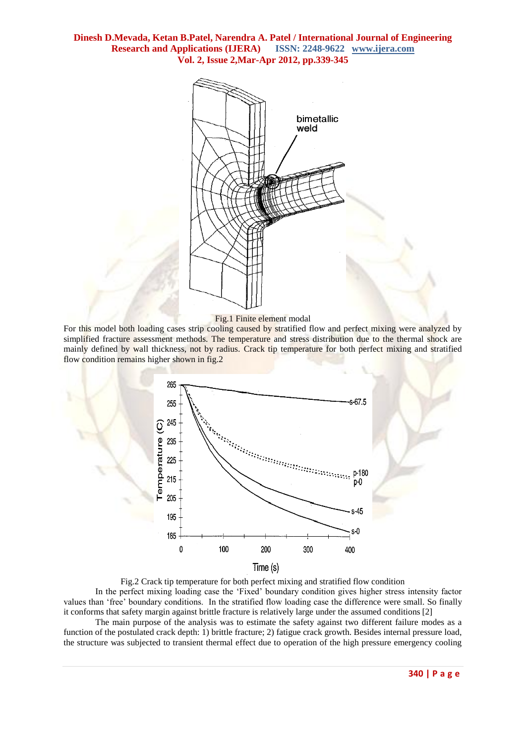

#### Fig.1 Finite element modal

For this model both loading cases strip cooling caused by stratified flow and perfect mixing were analyzed by simplified fracture assessment methods. The temperature and stress distribution due to the thermal shock are mainly defined by wall thickness, not by radius. Crack tip temperature for both perfect mixing and stratified flow condition remains higher shown in fig.2



Fig.2 Crack tip temperature for both perfect mixing and stratified flow condition In the perfect mixing loading case the "Fixed" boundary condition gives higher stress intensity factor values than "free" boundary conditions. In the stratified flow loading case the difference were small. So finally it conforms that safety margin against brittle fracture is relatively large under the assumed conditions [2]

The main purpose of the analysis was to estimate the safety against two different failure modes as a function of the postulated crack depth: 1) brittle fracture; 2) fatigue crack growth. Besides internal pressure load, the structure was subjected to transient thermal effect due to operation of the high pressure emergency cooling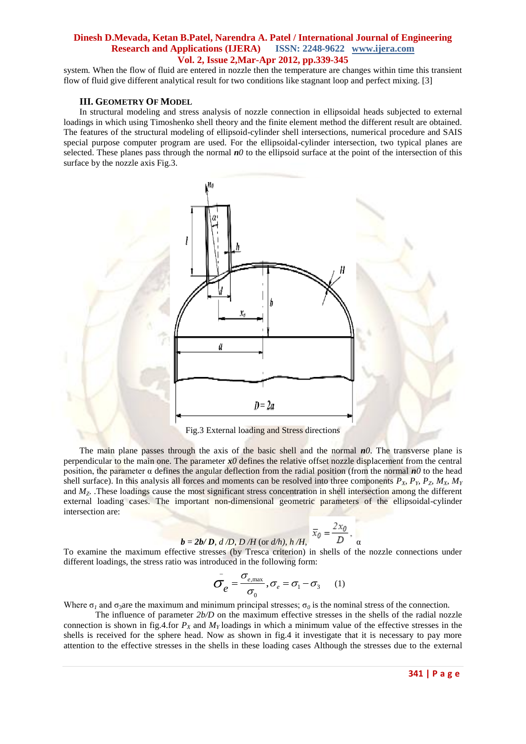system. When the flow of fluid are entered in nozzle then the temperature are changes within time this transient flow of fluid give different analytical result for two conditions like stagnant loop and perfect mixing. [3]

### **III. GEOMETRY OF MODEL**

In structural modeling and stress analysis of nozzle connection in ellipsoidal heads subjected to external loadings in which using Timoshenko shell theory and the finite element method the different result are obtained. The features of the structural modeling of ellipsoid-cylinder shell intersections, numerical procedure and SAIS special purpose computer program are used. For the ellipsoidal-cylinder intersection, two typical planes are selected. These planes pass through the normal  $n\theta$  to the ellipsoid surface at the point of the intersection of this surface by the nozzle axis Fig.3.



The main plane passes through the axis of the basic shell and the normal *n0*. The transverse plane is perpendicular to the main one. The parameter  $x\theta$  defines the relative offset nozzle displacement from the central position, the parameter  $\alpha$  defines the angular deflection from the radial position (from the normal  $n\theta$  to the head shell surface). In this analysis all forces and moments can be resolved into three components  $P_x$ ,  $P_y$ ,  $P_z$ ,  $M_x$ ,  $M_y$ and  $M_Z$ . These loadings cause the most significant stress concentration in shell intersection among the different external loading cases. The important non-dimensional geometric parameters of the ellipsoidal-cylinder intersection are:

$$
\overline{b} = 2b/D, d/D, D/H \text{ (or } d/h), h/H, \overline{x}_0 = \frac{2x_0}{D}, \overline{a}
$$

To examine the maximum effective stresses (by Tresca criterion) in shells of the nozzle connections under different loadings, the stress ratio was introduced in the following form:

$$
\sigma_e = \frac{\sigma_{e,\text{max}}}{\sigma_0}, \sigma_e = \sigma_1 - \sigma_3 \qquad (1)
$$

Where  $\sigma_1$  and  $\sigma_3$  are the maximum and minimum principal stresses;  $\sigma_0$  is the nominal stress of the connection.

The influence of parameter *2b/D* on the maximum effective stresses in the shells of the radial nozzle connection is shown in fig.4.for  $P_X$  and  $M_Y$  loadings in which a minimum value of the effective stresses in the shells is received for the sphere head. Now as shown in fig.4 it investigate that it is necessary to pay more attention to the effective stresses in the shells in these loading cases Although the stresses due to the external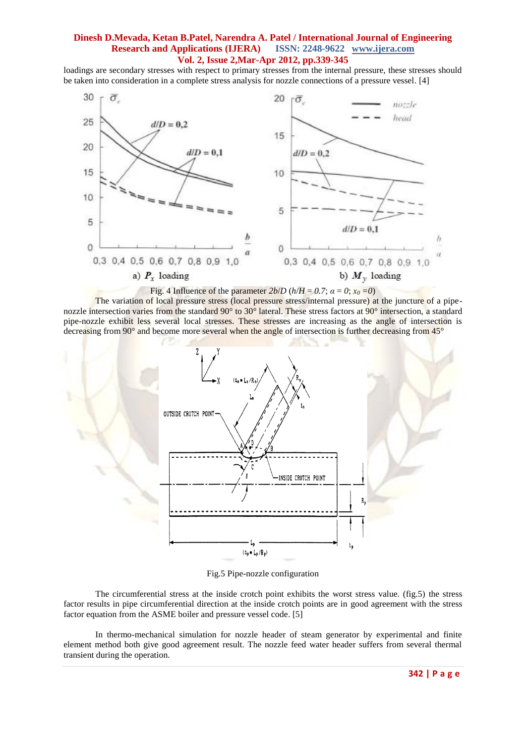loadings are secondary stresses with respect to primary stresses from the internal pressure, these stresses should be taken into consideration in a complete stress analysis for nozzle connections of a pressure vessel. [4]



The variation of local pressure stress (local pressure stress/internal pressure) at the juncture of a pipenozzle intersection varies from the standard 90° to 30° lateral. These stress factors at 90° intersection, a standard pipe-nozzle exhibit less several local stresses. These stresses are increasing as the angle of intersection is decreasing from 90° and become more several when the angle of intersection is further decreasing from 45°



Fig.5 Pipe-nozzle configuration

The circumferential stress at the inside crotch point exhibits the worst stress value. (fig.5) the stress factor results in pipe circumferential direction at the inside crotch points are in good agreement with the stress factor equation from the ASME boiler and pressure vessel code. [5]

In thermo-mechanical simulation for nozzle header of steam generator by experimental and finite element method both give good agreement result. The nozzle feed water header suffers from several thermal transient during the operation.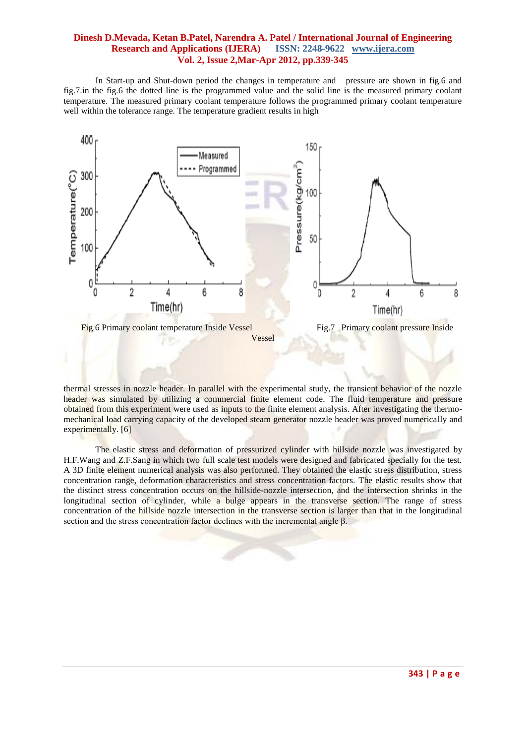In Start-up and Shut-down period the changes in temperature and pressure are shown in fig.6 and fig.7.in the fig.6 the dotted line is the programmed value and the solid line is the measured primary coolant temperature. The measured primary coolant temperature follows the programmed primary coolant temperature well within the tolerance range. The temperature gradient results in high



thermal stresses in nozzle header. In parallel with the experimental study, the transient behavior of the nozzle header was simulated by utilizing a commercial finite element code. The fluid temperature and pressure obtained from this experiment were used as inputs to the finite element analysis. After investigating the thermomechanical load carrying capacity of the developed steam generator nozzle header was proved numerically and experimentally. [6]

The elastic stress and deformation of pressurized cylinder with hillside nozzle was investigated by H.F.Wang and Z.F.Sang in which two full scale test models were designed and fabricated specially for the test. A 3D finite element numerical analysis was also performed. They obtained the elastic stress distribution, stress concentration range, deformation characteristics and stress concentration factors. The elastic results show that the distinct stress concentration occurs on the hillside-nozzle intersection, and the intersection shrinks in the longitudinal section of cylinder, while a bulge appears in the transverse section. The range of stress concentration of the hillside nozzle intersection in the transverse section is larger than that in the longitudinal section and the stress concentration factor declines with the incremental angle β.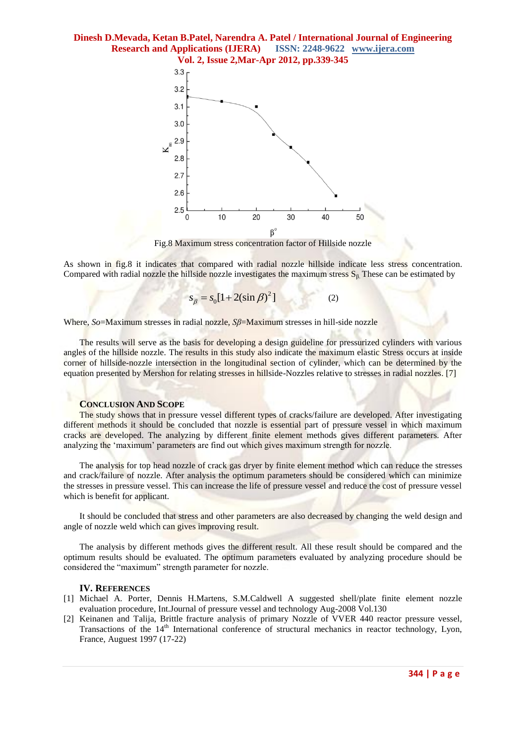**Dinesh D.Mevada, Ketan B.Patel, Narendra A. Patel / International Journal of Engineering Research and Applications (IJERA) ISSN: 2248-9622 www.ijera.com**



Fig.8 Maximum stress concentration factor of Hillside nozzle

As shown in fig.8 it indicates that compared with radial nozzle hillside indicate less stress concentration. Compared with radial nozzle the hillside nozzle investigates the maximum stress  $S_\beta$ . These can be estimated by

> 2  $s_{\beta} = s_0 [1 + 2(\sin \beta)^2]$  (2)

Where, *So*=Maximum stresses in radial nozzle, *Sβ*=Maximum stresses in hill-side nozzle

The results will serve as the basis for developing a design guideline for pressurized cylinders with various angles of the hillside nozzle. The results in this study also indicate the maximum elastic Stress occurs at inside corner of hillside-nozzle intersection in the longitudinal section of cylinder, which can be determined by the equation presented by Mershon for relating stresses in hillside-Nozzles relative to stresses in radial nozzles. [7]

### **CONCLUSION AND SCOPE**

The study shows that in pressure vessel different types of cracks/failure are developed. After investigating different methods it should be concluded that nozzle is essential part of pressure vessel in which maximum cracks are developed. The analyzing by different finite element methods gives different parameters. After analyzing the "maximum" parameters are find out which gives maximum strength for nozzle.

The analysis for top head nozzle of crack gas dryer by finite element method which can reduce the stresses and crack/failure of nozzle. After analysis the optimum parameters should be considered which can minimize the stresses in pressure vessel. This can increase the life of pressure vessel and reduce the cost of pressure vessel which is benefit for applicant.

It should be concluded that stress and other parameters are also decreased by changing the weld design and angle of nozzle weld which can gives improving result.

The analysis by different methods gives the different result. All these result should be compared and the optimum results should be evaluated. The optimum parameters evaluated by analyzing procedure should be considered the "maximum" strength parameter for nozzle.

#### **IV. REFERENCES**

- [1] Michael A. Porter, Dennis H.Martens, S.M.Caldwell A suggested shell/plate finite element nozzle evaluation procedure, Int.Journal of pressure vessel and technology Aug-2008 Vol.130
- [2] Keinanen and Talija, Brittle fracture analysis of primary Nozzle of VVER 440 reactor pressure vessel, Transactions of the 14<sup>th</sup> International conference of structural mechanics in reactor technology, Lyon, France, Auguest 1997 (17-22)